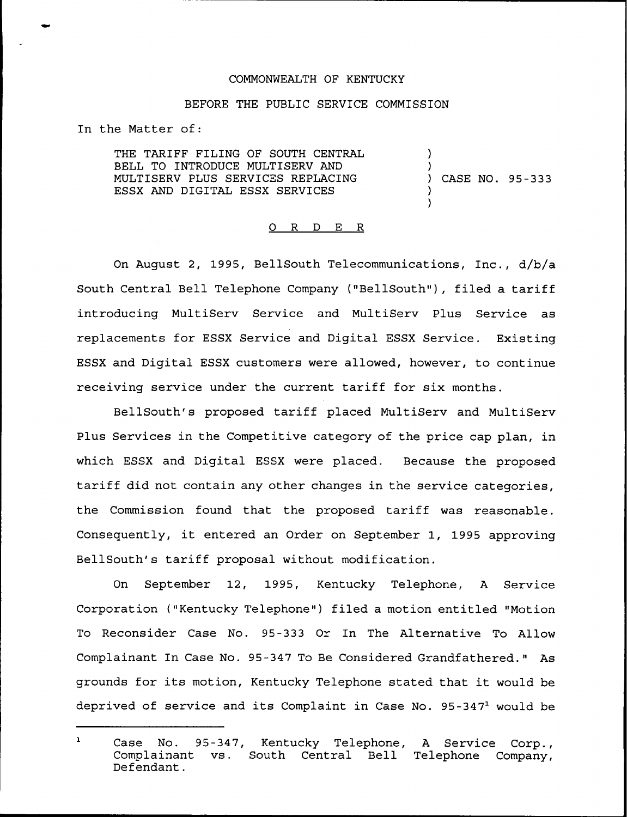## COMMONWEALTH OF KENTUCKY

## BEFORE THE PUBLIC SERVICE COMMISSION

In the Matter of:

THE TARIFF FILING OF SOUTH CENTRAL BELL TO INTRODUCE MULTISERV AND MULTISERV PLUS SERVICES REPLACING ESSX AND DIGITAL ESSX SERVICES

 $\left\{ \begin{array}{c} 1 \end{array} \right\}$ ) CASE NO. 95-333

)

) )

## 0 R <sup>D</sup> E R

On August 2, 1995, BellSouth Telecommunications, Inc., d/b/a South Central Bell Telephone Company {"BellSouth"), filed a tariff introducing MultiServ Service and MultiServ Plus Service as replacements for ESSX Service and Digital ESSX Service. Existing ESSX and Digital ESSX customers were allowed, however, to continue receiving service under the current tariff for six months.

BellSouth's proposed tariff placed MultiServ and MultiServ Plus Services in the Competitive category of the price cap plan, in which ESSX and Digital ESSX were placed. Because the proposed tariff did not contain any other changes in the service categories, the Commission found that the proposed tariff was reasonable. Consequently, it entered an Order on September 1, 1995 approving BellSouth's tariff proposal without modification.

On September 12, 1995, Kentucky Telephone, <sup>A</sup> Service Corporation ("Kentucky Telephone") filed a motion entitled "Motion To Reconsider Case No. 95-333 Or In The Alternative To Allow Complainant In Case No. 95-347 To Be Considered Grandfathered." As grounds for its motion, Kentucky Telephone stated that it would be deprived of service and its Complaint in Case No.  $95-347<sup>1</sup>$  would be

 $\mathbf{1}$ Case No. 95-347, Kentucky Telephone, A Service Corp.,<br>Complainant vs. South Central Bell Telephone Company, vs. South Central Bell Telephone Company, Defendant.